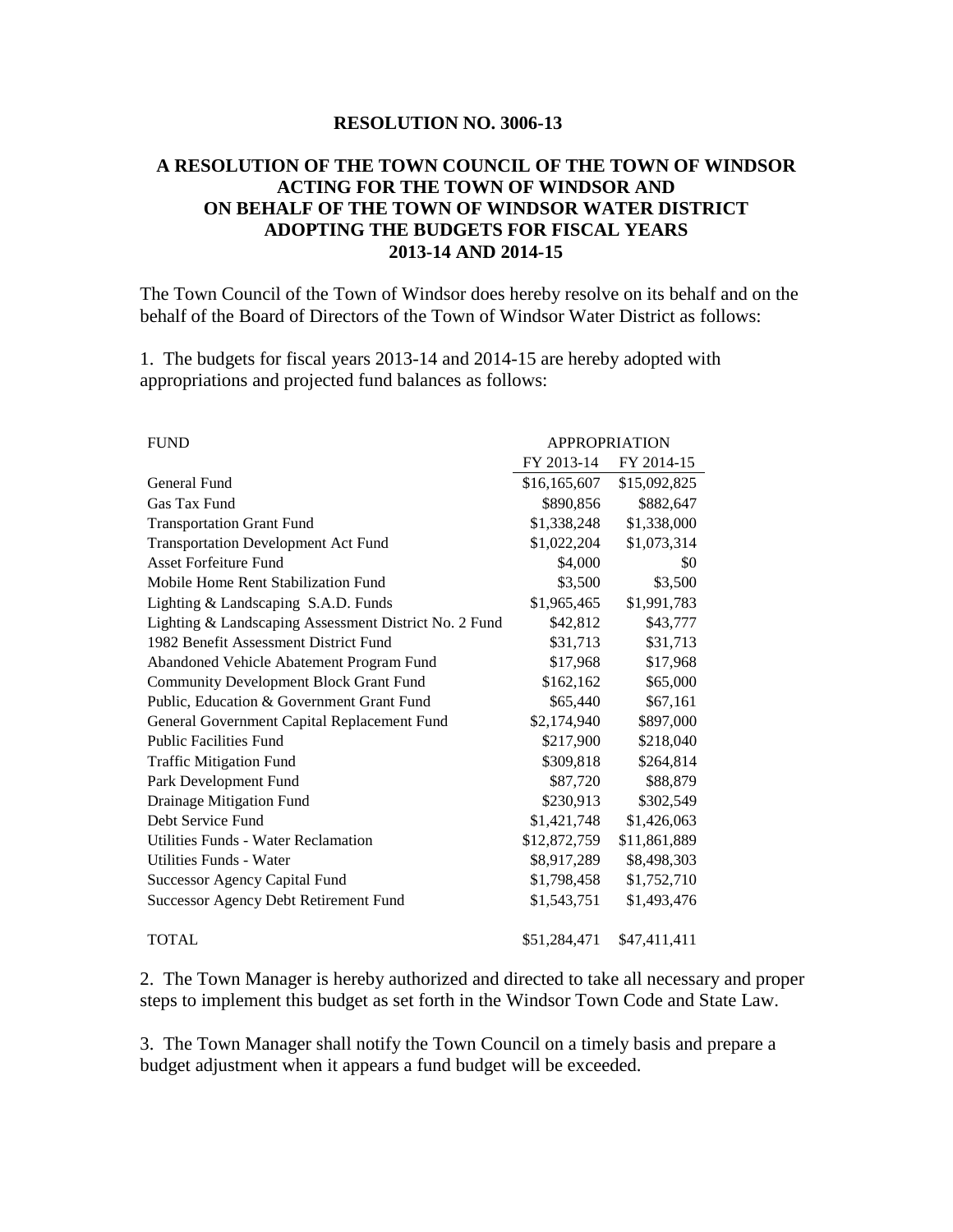## **RESOLUTION NO. 3006-13**

## **A RESOLUTION OF THE TOWN COUNCIL OF THE TOWN OF WINDSOR ACTING FOR THE TOWN OF WINDSOR AND ON BEHALF OF THE TOWN OF WINDSOR WATER DISTRICT ADOPTING THE BUDGETS FOR FISCAL YEARS 2013-14 AND 2014-15**

The Town Council of the Town of Windsor does hereby resolve on its behalf and on the behalf of the Board of Directors of the Town of Windsor Water District as follows:

1. The budgets for fiscal years 2013-14 and 2014-15 are hereby adopted with appropriations and projected fund balances as follows:

| <b>FUND</b>                                           | <b>APPROPRIATION</b> |              |
|-------------------------------------------------------|----------------------|--------------|
|                                                       | FY 2013-14           | FY 2014-15   |
| General Fund                                          | \$16,165,607         | \$15,092,825 |
| Gas Tax Fund                                          | \$890,856            | \$882,647    |
| <b>Transportation Grant Fund</b>                      | \$1,338,248          | \$1,338,000  |
| <b>Transportation Development Act Fund</b>            | \$1,022,204          | \$1,073,314  |
| <b>Asset Forfeiture Fund</b>                          | \$4,000              | \$0          |
| Mobile Home Rent Stabilization Fund                   | \$3,500              | \$3,500      |
| Lighting & Landscaping S.A.D. Funds                   | \$1,965,465          | \$1,991,783  |
| Lighting & Landscaping Assessment District No. 2 Fund | \$42,812             | \$43,777     |
| 1982 Benefit Assessment District Fund                 | \$31,713             | \$31,713     |
| Abandoned Vehicle Abatement Program Fund              | \$17,968             | \$17,968     |
| <b>Community Development Block Grant Fund</b>         | \$162,162            | \$65,000     |
| Public, Education & Government Grant Fund             | \$65,440             | \$67,161     |
| General Government Capital Replacement Fund           | \$2,174,940          | \$897,000    |
| <b>Public Facilities Fund</b>                         | \$217,900            | \$218,040    |
| <b>Traffic Mitigation Fund</b>                        | \$309,818            | \$264,814    |
| Park Development Fund                                 | \$87,720             | \$88,879     |
| Drainage Mitigation Fund                              | \$230,913            | \$302,549    |
| Debt Service Fund                                     | \$1,421,748          | \$1,426,063  |
| Utilities Funds - Water Reclamation                   | \$12,872,759         | \$11,861,889 |
| Utilities Funds - Water                               | \$8,917,289          | \$8,498,303  |
| <b>Successor Agency Capital Fund</b>                  | \$1,798,458          | \$1,752,710  |
| <b>Successor Agency Debt Retirement Fund</b>          | \$1,543,751          | \$1,493,476  |
| <b>TOTAL</b>                                          | \$51,284,471         | \$47,411,411 |

2. The Town Manager is hereby authorized and directed to take all necessary and proper steps to implement this budget as set forth in the Windsor Town Code and State Law.

3. The Town Manager shall notify the Town Council on a timely basis and prepare a budget adjustment when it appears a fund budget will be exceeded.